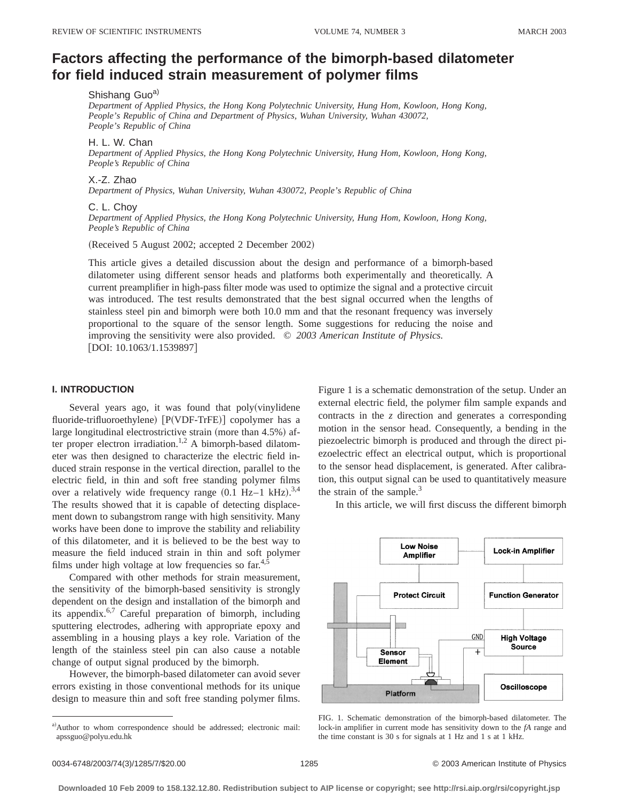# **Factors affecting the performance of the bimorph-based dilatometer for field induced strain measurement of polymer films**

## Shishang Guoa)

*Department of Applied Physics, the Hong Kong Polytechnic University, Hung Hom, Kowloon, Hong Kong, People's Republic of China and Department of Physics, Wuhan University, Wuhan 430072, People's Republic of China*

### H. L. W. Chan

*Department of Applied Physics, the Hong Kong Polytechnic University, Hung Hom, Kowloon, Hong Kong, People's Republic of China*

#### X.-Z. Zhao

*Department of Physics, Wuhan University, Wuhan 430072, People's Republic of China*

#### C. L. Choy

*Department of Applied Physics, the Hong Kong Polytechnic University, Hung Hom, Kowloon, Hong Kong, People's Republic of China*

(Received 5 August 2002; accepted 2 December 2002)

This article gives a detailed discussion about the design and performance of a bimorph-based dilatometer using different sensor heads and platforms both experimentally and theoretically. A current preamplifier in high-pass filter mode was used to optimize the signal and a protective circuit was introduced. The test results demonstrated that the best signal occurred when the lengths of stainless steel pin and bimorph were both 10.0 mm and that the resonant frequency was inversely proportional to the square of the sensor length. Some suggestions for reducing the noise and improving the sensitivity were also provided. © *2003 American Institute of Physics.*  $[DOI: 10.1063/1.1539897]$ 

#### **I. INTRODUCTION**

Several years ago, it was found that  $poly(viny$ fluoride-trifluoroethylene) [P(VDF-TrFE)] copolymer has a large longitudinal electrostrictive strain (more than  $4.5\%$ ) after proper electron irradiation.<sup>1,2</sup> A bimorph-based dilatometer was then designed to characterize the electric field induced strain response in the vertical direction, parallel to the electric field, in thin and soft free standing polymer films over a relatively wide frequency range  $(0.1 \text{ Hz}-1 \text{ kHz})$ .<sup>3,4</sup> The results showed that it is capable of detecting displacement down to subangstrom range with high sensitivity. Many works have been done to improve the stability and reliability of this dilatometer, and it is believed to be the best way to measure the field induced strain in thin and soft polymer films under high voltage at low frequencies so  $far<sup>4</sup>$ 

Compared with other methods for strain measurement, the sensitivity of the bimorph-based sensitivity is strongly dependent on the design and installation of the bimorph and its appendix.6,7 Careful preparation of bimorph, including sputtering electrodes, adhering with appropriate epoxy and assembling in a housing plays a key role. Variation of the length of the stainless steel pin can also cause a notable change of output signal produced by the bimorph.

However, the bimorph-based dilatometer can avoid sever errors existing in those conventional methods for its unique design to measure thin and soft free standing polymer films. Figure 1 is a schematic demonstration of the setup. Under an external electric field, the polymer film sample expands and contracts in the *z* direction and generates a corresponding motion in the sensor head. Consequently, a bending in the piezoelectric bimorph is produced and through the direct piezoelectric effect an electrical output, which is proportional to the sensor head displacement, is generated. After calibration, this output signal can be used to quantitatively measure the strain of the sample. $3$ 

In this article, we will first discuss the different bimorph



FIG. 1. Schematic demonstration of the bimorph-based dilatometer. The lock-in amplifier in current mode has sensitivity down to the *fA* range and the time constant is 30 s for signals at 1 Hz and 1 s at 1 kHz.

a)Author to whom correspondence should be addressed; electronic mail: apssguo@polyu.edu.hk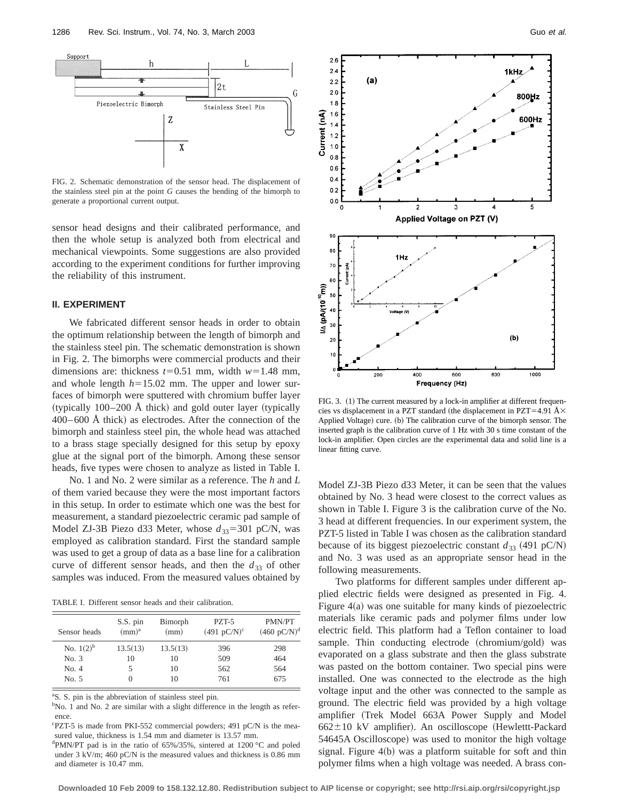

FIG. 2. Schematic demonstration of the sensor head. The displacement of the stainless steel pin at the point *G* causes the bending of the bimorph to generate a proportional current output.

sensor head designs and their calibrated performance, and then the whole setup is analyzed both from electrical and mechanical viewpoints. Some suggestions are also provided according to the experiment conditions for further improving the reliability of this instrument.

#### **II. EXPERIMENT**

We fabricated different sensor heads in order to obtain the optimum relationship between the length of bimorph and the stainless steel pin. The schematic demonstration is shown in Fig. 2. The bimorphs were commercial products and their dimensions are: thickness  $t=0.51$  mm, width  $w=1.48$  mm, and whole length  $h=15.02$  mm. The upper and lower surfaces of bimorph were sputtered with chromium buffer layer  $(typically 100–200$  Å thick) and gold outer layer  $(typically)$  $400-600$  Å thick) as electrodes. After the connection of the bimorph and stainless steel pin, the whole head was attached to a brass stage specially designed for this setup by epoxy glue at the signal port of the bimorph. Among these sensor heads, five types were chosen to analyze as listed in Table I.

No. 1 and No. 2 were similar as a reference. The *h* and *L* of them varied because they were the most important factors in this setup. In order to estimate which one was the best for measurement, a standard piezoelectric ceramic pad sample of Model ZJ-3B Piezo d33 Meter, whose  $d_{33}$ =301 pC/N, was employed as calibration standard. First the standard sample was used to get a group of data as a base line for a calibration curve of different sensor heads, and then the  $d_{33}$  of other samples was induced. From the measured values obtained by

TABLE I. Different sensor heads and their calibration.

| Sensor heads | S.S. pin<br>(mm) <sup>a</sup> | Bimorph<br>(mm) | PZT-5<br>$(491 \text{ pC/N})^c$ | PMN/PT<br>$(460 \text{ pC/N})^d$ |
|--------------|-------------------------------|-----------------|---------------------------------|----------------------------------|
| No. $1(2)^b$ | 13.5(13)                      | 13.5(13)        | 396                             | 298                              |
| No. 3        | 10                            | 10              | 509                             | 464                              |
| No. 4        |                               | 10              | 562                             | 564                              |
| No. 5        |                               | 10              | 761                             | 675                              |

<sup>a</sup>S. S. pin is the abbreviation of stainless steel pin.

<sup>b</sup>No. 1 and No. 2 are similar with a slight difference in the length as reference.

c PZT-5 is made from PKI-552 commercial powders; 491 pC/N is the measured value, thickness is 1.54 mm and diameter is 13.57 mm.

d PMN/PT pad is in the ratio of 65%/35%, sintered at 1200 °C and poled under 3 kV/m; 460 pC/N is the measured values and thickness is 0.86 mm and diameter is 10.47 mm.



FIG. 3. (1) The current measured by a lock-in amplifier at different frequencies vs displacement in a PZT standard (the displacement in PZT=4.91 Å $\times$ Applied Voltage) cure. (b) The calibration curve of the bimorph sensor. The inserted graph is the calibration curve of 1 Hz with 30 s time constant of the lock-in amplifier. Open circles are the experimental data and solid line is a linear fitting curve.

Model ZJ-3B Piezo d33 Meter, it can be seen that the values obtained by No. 3 head were closest to the correct values as shown in Table I. Figure 3 is the calibration curve of the No. 3 head at different frequencies. In our experiment system, the PZT-5 listed in Table I was chosen as the calibration standard because of its biggest piezoelectric constant  $d_{33}$  (491 pC/N) and No. 3 was used as an appropriate sensor head in the following measurements.

Two platforms for different samples under different applied electric fields were designed as presented in Fig. 4. Figure  $4(a)$  was one suitable for many kinds of piezoelectric materials like ceramic pads and polymer films under low electric field. This platform had a Teflon container to load sample. Thin conducting electrode (chromium/gold) was evaporated on a glass substrate and then the glass substrate was pasted on the bottom container. Two special pins were installed. One was connected to the electrode as the high voltage input and the other was connected to the sample as ground. The electric field was provided by a high voltage amplifier (Trek Model 663A Power Supply and Model  $662 \pm 10$  kV amplifier). An oscilloscope (Hewlettt-Packard 54645A Oscilloscope) was used to monitor the high voltage signal. Figure  $4(b)$  was a platform suitable for soft and thin polymer films when a high voltage was needed. A brass con-

**Downloaded 10 Feb 2009 to 158.132.12.80. Redistribution subject to AIP license or copyright; see http://rsi.aip.org/rsi/copyright.jsp**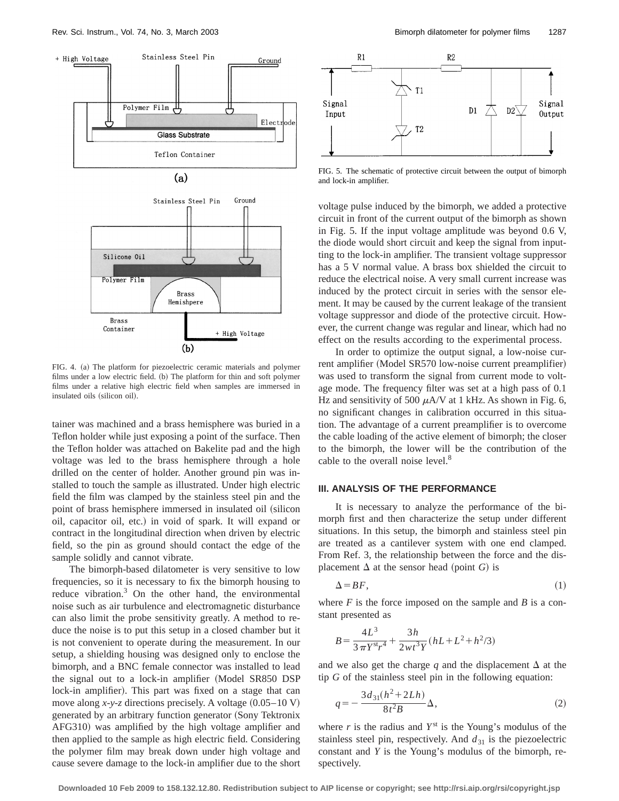

FIG. 4. (a) The platform for piezoelectric ceramic materials and polymer films under a low electric field.  $(b)$  The platform for thin and soft polymer films under a relative high electric field when samples are immersed in insulated oils (silicon oil).

tainer was machined and a brass hemisphere was buried in a Teflon holder while just exposing a point of the surface. Then the Teflon holder was attached on Bakelite pad and the high voltage was led to the brass hemisphere through a hole drilled on the center of holder. Another ground pin was installed to touch the sample as illustrated. Under high electric field the film was clamped by the stainless steel pin and the point of brass hemisphere immersed in insulated oil (silicon oil, capacitor oil, etc.) in void of spark. It will expand or contract in the longitudinal direction when driven by electric field, so the pin as ground should contact the edge of the sample solidly and cannot vibrate.

The bimorph-based dilatometer is very sensitive to low frequencies, so it is necessary to fix the bimorph housing to reduce vibration. $3$  On the other hand, the environmental noise such as air turbulence and electromagnetic disturbance can also limit the probe sensitivity greatly. A method to reduce the noise is to put this setup in a closed chamber but it is not convenient to operate during the measurement. In our setup, a shielding housing was designed only to enclose the bimorph, and a BNC female connector was installed to lead the signal out to a lock-in amplifier (Model SR850 DSP lock-in amplifier). This part was fixed on a stage that can move along  $x-y-z$  directions precisely. A voltage  $(0.05-10 \text{ V})$ generated by an arbitrary function generator (Sony Tektronix AFG310) was amplified by the high voltage amplifier and then applied to the sample as high electric field. Considering the polymer film may break down under high voltage and cause severe damage to the lock-in amplifier due to the short



FIG. 5. The schematic of protective circuit between the output of bimorph and lock-in amplifier.

voltage pulse induced by the bimorph, we added a protective circuit in front of the current output of the bimorph as shown in Fig. 5. If the input voltage amplitude was beyond 0.6 V, the diode would short circuit and keep the signal from inputting to the lock-in amplifier. The transient voltage suppressor has a 5 V normal value. A brass box shielded the circuit to reduce the electrical noise. A very small current increase was induced by the protect circuit in series with the sensor element. It may be caused by the current leakage of the transient voltage suppressor and diode of the protective circuit. However, the current change was regular and linear, which had no effect on the results according to the experimental process.

In order to optimize the output signal, a low-noise current amplifier (Model SR570 low-noise current preamplifier) was used to transform the signal from current mode to voltage mode. The frequency filter was set at a high pass of 0.1 Hz and sensitivity of 500  $\mu$ A/V at 1 kHz. As shown in Fig. 6, no significant changes in calibration occurred in this situation. The advantage of a current preamplifier is to overcome the cable loading of the active element of bimorph; the closer to the bimorph, the lower will be the contribution of the cable to the overall noise level.<sup>8</sup>

#### **III. ANALYSIS OF THE PERFORMANCE**

It is necessary to analyze the performance of the bimorph first and then characterize the setup under different situations. In this setup, the bimorph and stainless steel pin are treated as a cantilever system with one end clamped. From Ref. 3, the relationship between the force and the displacement  $\Delta$  at the sensor head (point *G*) is

$$
\Delta = BF,\tag{1}
$$

where  $F$  is the force imposed on the sample and  $B$  is a constant presented as

$$
B = \frac{4L^3}{3\pi Y^{st}r^4} + \frac{3h}{2wt^3Y}(hL + L^2 + h^2/3)
$$

and we also get the charge  $q$  and the displacement  $\Delta$  at the tip *G* of the stainless steel pin in the following equation:

$$
q = -\frac{3d_{31}(h^2 + 2Lh)}{8t^2B} \Delta,
$$
 (2)

where  $r$  is the radius and  $Y^{st}$  is the Young's modulus of the stainless steel pin, respectively. And  $d_{31}$  is the piezoelectric constant and *Y* is the Young's modulus of the bimorph, respectively.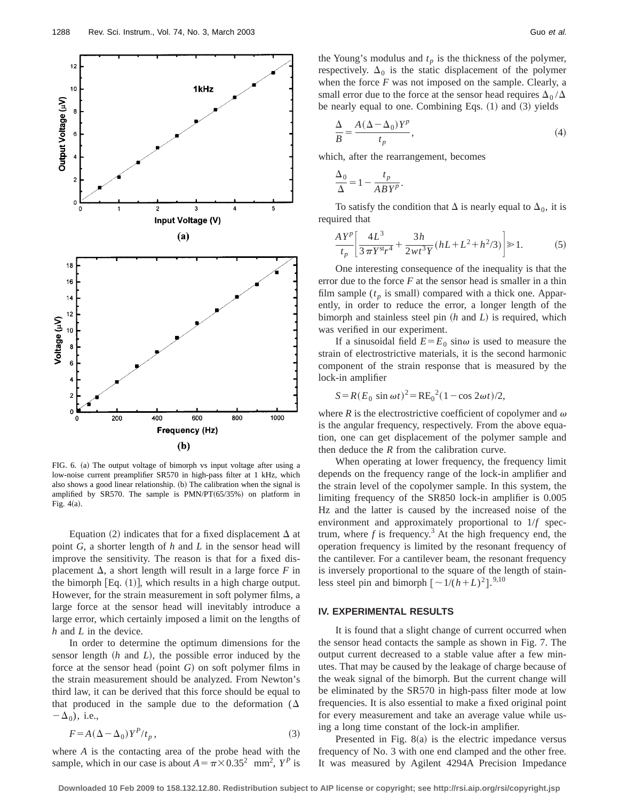

FIG. 6. (a) The output voltage of bimorph vs input voltage after using a low-noise current preamplifier SR570 in high-pass filter at 1 kHz, which also shows a good linear relationship.  $(b)$  The calibration when the signal is amplified by SR570. The sample is  $PMN/PT(65/35%)$  on platform in Fig.  $4(a)$ .

Equation (2) indicates that for a fixed displacement  $\Delta$  at point *G*, a shorter length of *h* and *L* in the sensor head will improve the sensitivity. The reason is that for a fixed displacement  $\Delta$ , a short length will result in a large force *F* in the bimorph  $[Eq. (1)]$ , which results in a high charge output. However, for the strain measurement in soft polymer films, a large force at the sensor head will inevitably introduce a large error, which certainly imposed a limit on the lengths of *h* and *L* in the device.

In order to determine the optimum dimensions for the sensor length  $(h$  and  $L)$ , the possible error induced by the force at the sensor head (point  $G$ ) on soft polymer films in the strain measurement should be analyzed. From Newton's third law, it can be derived that this force should be equal to that produced in the sample due to the deformation ( $\Delta$  $-\Delta_0$ ), i.e.,

$$
F = A\left(\Delta - \Delta_0\right)Y^P/t_p\,,\tag{3}
$$

where *A* is the contacting area of the probe head with the sample, which in our case is about  $A = \pi \times 0.35^2$  mm<sup>2</sup>,  $Y^P$  is the Young's modulus and  $t_p$  is the thickness of the polymer, respectively.  $\Delta_0$  is the static displacement of the polymer when the force  $F$  was not imposed on the sample. Clearly, a small error due to the force at the sensor head requires  $\Delta_0 / \Delta$ be nearly equal to one. Combining Eqs.  $(1)$  and  $(3)$  yields

$$
\frac{\Delta}{B} = \frac{A(\Delta - \Delta_0)Y^p}{t_p},\tag{4}
$$

which, after the rearrangement, becomes

$$
\frac{\Delta_0}{\Delta} = 1 - \frac{t_p}{ABY^p}.
$$

To satisfy the condition that  $\Delta$  is nearly equal to  $\Delta_0$ , it is required that

$$
\frac{AY^{p}}{t_{p}}\left[\frac{4L^{3}}{3\pi Y^{st}r^{4}}+\frac{3h}{2\pi t^{3}Y}(hL+L^{2}+h^{2}/3)\right]\geq 1.
$$
 (5)

One interesting consequence of the inequality is that the error due to the force *F* at the sensor head is smaller in a thin film sample  $(t_p$  is small) compared with a thick one. Apparently, in order to reduce the error, a longer length of the bimorph and stainless steel pin (*h* and *L*) is required, which was verified in our experiment.

If a sinusoidal field  $E = E_0 \sin \omega$  is used to measure the strain of electrostrictive materials, it is the second harmonic component of the strain response that is measured by the lock-in amplifier

$$
S = R(E_0 \sin \omega t)^2 = RE_0^2 (1 - \cos 2\omega t)/2,
$$

where  $R$  is the electrostrictive coefficient of copolymer and  $\omega$ is the angular frequency, respectively. From the above equation, one can get displacement of the polymer sample and then deduce the *R* from the calibration curve.

When operating at lower frequency, the frequency limit depends on the frequency range of the lock-in amplifier and the strain level of the copolymer sample. In this system, the limiting frequency of the SR850 lock-in amplifier is 0.005 Hz and the latter is caused by the increased noise of the environment and approximately proportional to 1/*f* spectrum, where  $f$  is frequency.<sup>3</sup> At the high frequency end, the operation frequency is limited by the resonant frequency of the cantilever. For a cantilever beam, the resonant frequency is inversely proportional to the square of the length of stainless steel pin and bimorph  $\left[\frac{\sim 1}{(h+L)^2}\right]$ .<sup>9,10</sup>

## **IV. EXPERIMENTAL RESULTS**

It is found that a slight change of current occurred when the sensor head contacts the sample as shown in Fig. 7. The output current decreased to a stable value after a few minutes. That may be caused by the leakage of charge because of the weak signal of the bimorph. But the current change will be eliminated by the SR570 in high-pass filter mode at low frequencies. It is also essential to make a fixed original point for every measurement and take an average value while using a long time constant of the lock-in amplifier.

Presented in Fig.  $8(a)$  is the electric impedance versus frequency of No. 3 with one end clamped and the other free. It was measured by Agilent 4294A Precision Impedance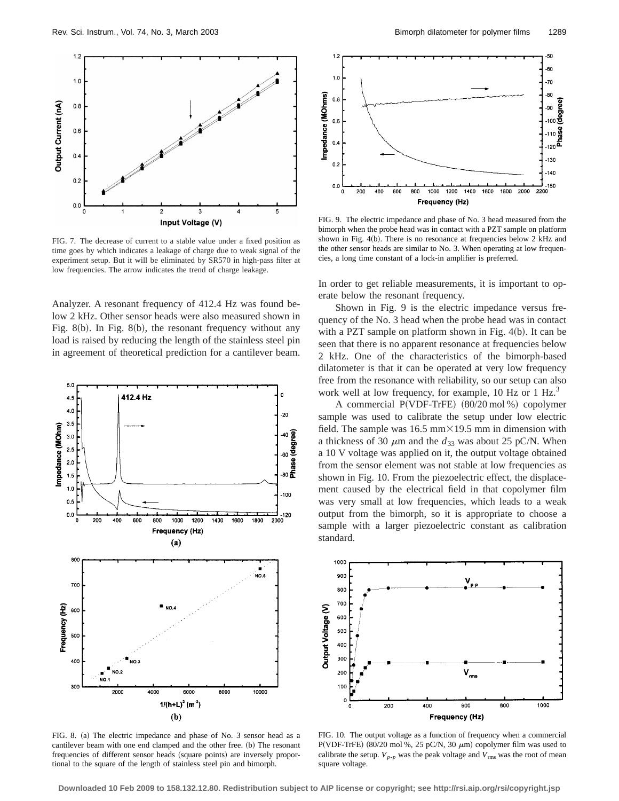

FIG. 7. The decrease of current to a stable value under a fixed position as time goes by which indicates a leakage of charge due to weak signal of the experiment setup. But it will be eliminated by SR570 in high-pass filter at low frequencies. The arrow indicates the trend of charge leakage.

Analyzer. A resonant frequency of 412.4 Hz was found below 2 kHz. Other sensor heads were also measured shown in Fig. 8(b). In Fig. 8(b), the resonant frequency without any load is raised by reducing the length of the stainless steel pin in agreement of theoretical prediction for a cantilever beam.



FIG. 8. (a) The electric impedance and phase of No. 3 sensor head as a cantilever beam with one end clamped and the other free. (b) The resonant frequencies of different sensor heads (square points) are inversely proportional to the square of the length of stainless steel pin and bimorph.



FIG. 9. The electric impedance and phase of No. 3 head measured from the bimorph when the probe head was in contact with a PZT sample on platform shown in Fig.  $4(b)$ . There is no resonance at frequencies below 2 kHz and the other sensor heads are similar to No. 3. When operating at low frequencies, a long time constant of a lock-in amplifier is preferred.

In order to get reliable measurements, it is important to operate below the resonant frequency.

Shown in Fig. 9 is the electric impedance versus frequency of the No. 3 head when the probe head was in contact with a PZT sample on platform shown in Fig.  $4(b)$ . It can be seen that there is no apparent resonance at frequencies below 2 kHz. One of the characteristics of the bimorph-based dilatometer is that it can be operated at very low frequency free from the resonance with reliability, so our setup can also work well at low frequency, for example, 10 Hz or 1 Hz.<sup>3</sup>

A commercial  $P(VDF-TrFE)$   $(80/20 \text{ mol\%})$  copolymer sample was used to calibrate the setup under low electric field. The sample was  $16.5$  mm $\times$ 19.5 mm in dimension with a thickness of 30  $\mu$ m and the  $d_{33}$  was about 25 pC/N. When a 10 V voltage was applied on it, the output voltage obtained from the sensor element was not stable at low frequencies as shown in Fig. 10. From the piezoelectric effect, the displacement caused by the electrical field in that copolymer film was very small at low frequencies, which leads to a weak output from the bimorph, so it is appropriate to choose a sample with a larger piezoelectric constant as calibration standard.



FIG. 10. The output voltage as a function of frequency when a commercial P(VDF-TrFE) (80/20 mol %, 25 pC/N, 30  $\mu$ m) copolymer film was used to calibrate the setup.  $V_{p-p}$  was the peak voltage and  $V_{\text{rms}}$  was the root of mean square voltage.

**Downloaded 10 Feb 2009 to 158.132.12.80. Redistribution subject to AIP license or copyright; see http://rsi.aip.org/rsi/copyright.jsp**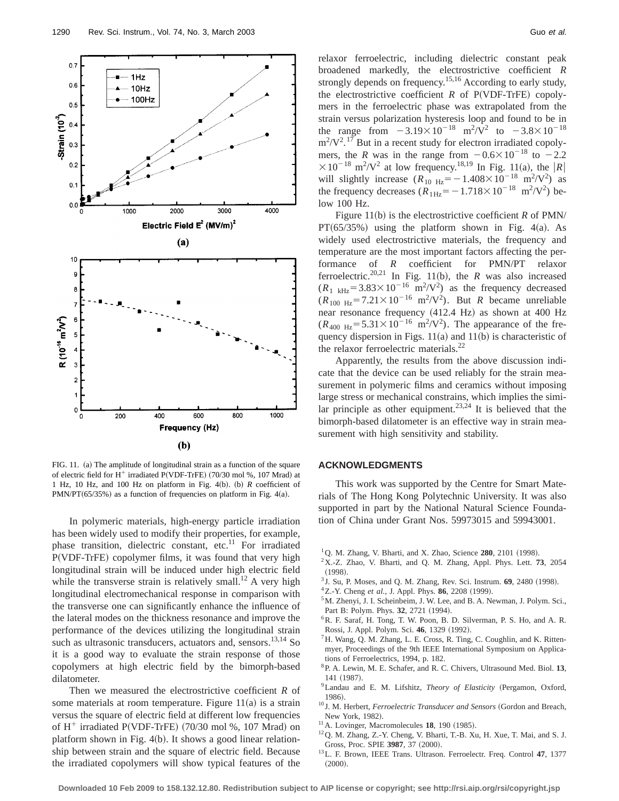

FIG. 11. (a) The amplitude of longitudinal strain as a function of the square of electric field for  $H^+$  irradiated P(VDF-TrFE) (70/30 mol %, 107 Mrad) at 1 Hz, 10 Hz, and 100 Hz on platform in Fig. 4(b). (b)  $R$  coefficient of  $PMN/PT(65/35%)$  as a function of frequencies on platform in Fig. 4(a).

In polymeric materials, high-energy particle irradiation has been widely used to modify their properties, for example, phase transition, dielectric constant, etc.<sup>11</sup> For irradiated P(VDF-TrFE) copolymer films, it was found that very high longitudinal strain will be induced under high electric field while the transverse strain is relatively small.<sup>12</sup> A very high longitudinal electromechanical response in comparison with the transverse one can significantly enhance the influence of the lateral modes on the thickness resonance and improve the performance of the devices utilizing the longitudinal strain such as ultrasonic transducers, actuators and, sensors. $13,14$  So it is a good way to evaluate the strain response of those copolymers at high electric field by the bimorph-based dilatometer.

Then we measured the electrostrictive coefficient *R* of some materials at room temperature. Figure  $11(a)$  is a strain versus the square of electric field at different low frequencies of  $H^+$  irradiated P(VDF-TrFE) (70/30 mol %, 107 Mrad) on platform shown in Fig.  $4(b)$ . It shows a good linear relationship between strain and the square of electric field. Because the irradiated copolymers will show typical features of the

relaxor ferroelectric, including dielectric constant peak broadened markedly, the electrostrictive coefficient *R* strongly depends on frequency.<sup>15,16</sup> According to early study, the electrostrictive coefficient  $R$  of  $P(VDF-TrFE)$  copolymers in the ferroelectric phase was extrapolated from the strain versus polarization hysteresis loop and found to be in the range from  $-3.19 \times 10^{-18}$  m<sup>2</sup>/V<sup>2</sup> to  $-3.8 \times 10^{-18}$  $\text{m}^2/\text{V}^2$ .<sup>17</sup> But in a recent study for electron irradiated copolymers, the *R* was in the range from  $-0.6\times10^{-18}$  to  $-2.2$  $\times 10^{-18}$  m<sup>2</sup>/V<sup>2</sup> at low frequency.<sup>18,19</sup> In Fig. 11(a), the |R| will slightly increase  $(R_{10 \text{ Hz}} = -1.408 \times 10^{-18} \text{ m}^2/\text{V}^2)$  as the frequency decreases  $(R_{1\text{Hz}} = -1.718 \times 10^{-18} \text{ m}^2/\text{V}^2)$  below 100 Hz.

Figure 11(b) is the electrostrictive coefficient  $R$  of PMN/  $PT(65/35%)$  using the platform shown in Fig. 4(a). As widely used electrostrictive materials, the frequency and temperature are the most important factors affecting the performance of *R* coefficient for PMN/PT relaxor ferroelectric.<sup>20,21</sup> In Fig. 11(b), the *R* was also increased  $(R_{1 \text{ kHz}} = 3.83 \times 10^{-16} \text{ m}^2/\text{V}^2)$  as the frequency decreased  $(R_{100 \text{ Hz}} = 7.21 \times 10^{-16} \text{ m}^2/\text{V}^2)$ . But *R* became unreliable near resonance frequency (412.4 Hz) as shown at 400 Hz  $(R_{400 \text{ Hz}} = 5.31 \times 10^{-16} \text{ m}^2/\text{V}^2)$ . The appearance of the frequency dispersion in Figs.  $11(a)$  and  $11(b)$  is characteristic of the relaxor ferroelectric materials.<sup>22</sup>

Apparently, the results from the above discussion indicate that the device can be used reliably for the strain measurement in polymeric films and ceramics without imposing large stress or mechanical constrains, which implies the similar principle as other equipment.<sup>23,24</sup> It is believed that the bimorph-based dilatometer is an effective way in strain measurement with high sensitivity and stability.

### **ACKNOWLEDGMENTS**

This work was supported by the Centre for Smart Materials of The Hong Kong Polytechnic University. It was also supported in part by the National Natural Science Foundation of China under Grant Nos. 59973015 and 59943001.

- <sup>1</sup>Q. M. Zhang, V. Bharti, and X. Zhao, Science 280, 2101 (1998).
- $2X-Z$ . Zhao, V. Bharti, and Q. M. Zhang, Appl. Phys. Lett. **73**, 2054  $(1998).$
- <sup>3</sup> J. Su, P. Moses, and Q. M. Zhang, Rev. Sci. Instrum. **69**, 2480 (1998).
- <sup>4</sup>Z.-Y. Cheng *et al.*, J. Appl. Phys. **86**, 2208 (1999).
- <sup>5</sup>M. Zhenyi, J. I. Scheinbeim, J. W. Lee, and B. A. Newman, J. Polym. Sci., Part B: Polym. Phys. 32, 2721 (1994).
- 6R. F. Saraf, H. Tong, T. W. Poon, B. D. Silverman, P. S. Ho, and A. R. Rossi, J. Appl. Polym. Sci. 46, 1329 (1992).
- ${}^{7}$ H. Wang, Q. M. Zhang, L. E. Cross, R. Ting, C. Coughlin, and K. Rittenmyer, Proceedings of the 9th IEEE International Symposium on Applications of Ferroelectrics, 1994, p. 182.
- 8P. A. Lewin, M. E. Schafer, and R. C. Chivers, Ultrasound Med. Biol. **13**, 141 (1987).
- <sup>9</sup>Landau and E. M. Lifshitz, *Theory of Elasticity* (Pergamon, Oxford, 1986).
- <sup>10</sup> J. M. Herbert, *Ferroelectric Transducer and Sensors* (Gordon and Breach, New York, 1982).
- $11$ A. Lovinger, Macromolecules **18**, 190 (1985).
- 12Q. M. Zhang, Z.-Y. Cheng, V. Bharti, T.-B. Xu, H. Xue, T. Mai, and S. J. Gross, Proc. SPIE 3987, 37 (2000).
- 13L. F. Brown, IEEE Trans. Ultrason. Ferroelectr. Freq. Control **47**, 1377  $(2000).$